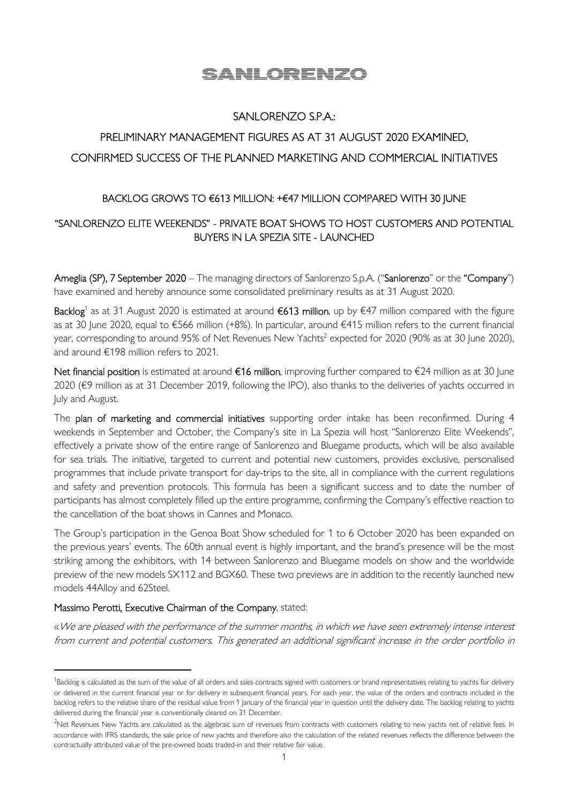# SANLORENZO

## SANLORENZO S.P.A.:

# PRELIMINARY MANAGEMENT FIGURES AS AT 31 AUGUST 2020 EXAMINED, CONFIRMED SUCCESS OF THE PLANNED MARKETING AND COMMERCIAL INITIATIVES

### BACKLOG GROWS TO €613 MILLION: +€47 MILLION COMPARED WITH 30 JUNE

## "SANLORENZO ELITE WEEKENDS" - PRIVATE BOAT SHOWS TO HOST CUSTOMERS AND POTENTIAL BUYERS IN LA SPEZIA SITE - LAUNCHED

Ameglia (SP), 7 September 2020 – The managing directors of Sanlorenzo S.p.A. ("Sanlorenzo" or the "Company") have examined and hereby announce some consolidated preliminary results as at 31 August 2020.

**Backlog**<sup>1</sup> as at 31 August 2020 is estimated at around €613 million, up by €47 million compared with the figure as at 30 June 2020, equal to €566 million (+8%). In particular, around €415 million refers to the current financial year, corresponding to around 95% of Net Revenues New Yachts<sup>2</sup> expected for 2020 (90% as at 30 June 2020), and around €198 million refers to 2021.

Net financial position is estimated at around €16 million, improving further compared to €24 million as at 30 June 2020 (€9 million as at 31 December 2019, following the IPO), also thanks to the deliveries of yachts occurred in July and August.

The plan of marketing and commercial initiatives supporting order intake has been reconfirmed. During 4 weekends in September and October, the Company's site in La Spezia will host "Sanlorenzo Elite Weekends", effectively a private show of the entire range of Sanlorenzo and Bluegame products, which will be also available for sea trials. The initiative, targeted to current and potential new customers, provides exclusive, personalised programmes that include private transport for day-trips to the site, all in compliance with the current regulations and safety and prevention protocols. This formula has been a significant success and to date the number of participants has almost completely filled up the entire programme, confirming the Company's effective reaction to the cancellation of the boat shows in Cannes and Monaco.

The Group's participation in the Genoa Boat Show scheduled for 1 to 6 October 2020 has been expanded on the previous years' events. The 60th annual event is highly important, and the brand's presence will be the most striking among the exhibitors, with 14 between Sanlorenzo and Bluegame models on show and the worldwide preview of the new models SX112 and BGX60. These two previews are in addition to the recently launched new models 44Alloy and 62Steel.

#### Massimo Perotti, Executive Chairman of the Company, stated:

«We are pleased with the performance of the summer months, in which we have seen extremely intense interest from current and potential customers. This generated an additional significant increase in the order portfolio in

<sup>&</sup>lt;sup>1</sup>Backlog is calculated as the sum of the value of all orders and sales contracts signed with customers or brand representatives relating to yachts for delivery or delivered in the current financial year or for delivery in subsequent financial years. For each year, the value of the orders and contracts included in the backlog refers to the relative share of the residual value from 1 January of the financial year in question until the delivery date. The backlog relating to yachts delivered during the financial year is conventionally cleared on 31 December.

<sup>&</sup>lt;sup>2</sup>Net Revenues New Yachts are calculated as the algebraic sum of revenues from contracts with customers relating to new yachts net of relative fees. In accordance with IFRS standards, the sale price of new yachts and therefore also the calculation of the related revenues reflects the difference between the contractually attributed value of the pre-owned boats traded-in and their relative fair value.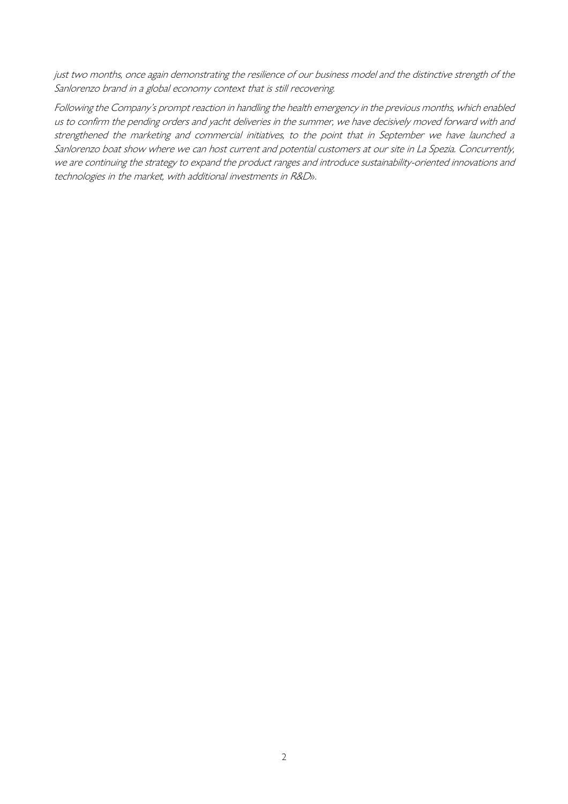just two months, once again demonstrating the resilience of our business model and the distinctive strength of the Sanlorenzo brand in a global economy context that is still recovering.

Following the Company's prompt reaction in handling the health emergency in the previous months, which enabled us to confirm the pending orders and yacht deliveries in the summer, we have decisively moved forward with and strengthened the marketing and commercial initiatives, to the point that in September we have launched a Sanlorenzo boat show where we can host current and potential customers at our site in La Spezia. Concurrently, we are continuing the strategy to expand the product ranges and introduce sustainability-oriented innovations and technologies in the market, with additional investments in R&D».